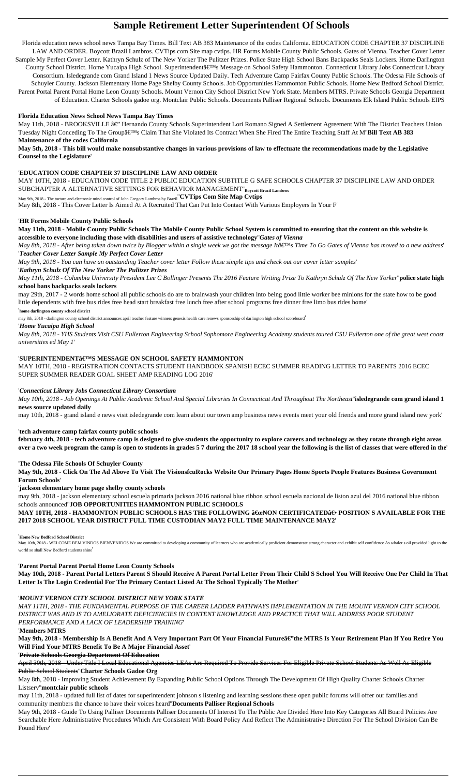# **Sample Retirement Letter Superintendent Of Schools**

Florida education news school news Tampa Bay Times. Bill Text AB 383 Maintenance of the codes California. EDUCATION CODE CHAPTER 37 DISCIPLINE LAW AND ORDER. Boycott Brazil Lambros. CVTips com Site map cvtips. HR Forms Mobile County Public Schools. Gates of Vienna. Teacher Cover Letter Sample My Perfect Cover Letter. Kathryn Schulz of The New Yorker The Pulitzer Prizes. Police State High School Bans Backpacks Seals Lockers. Home Darlington County School District. Home Yucaipa High School. Superintendent's Message on School Safety Hammonton. Connecticut Library Jobs Connecticut Library Consortium. Isledegrande com Grand Island 1 News Source Updated Daily. Tech Adventure Camp Fairfax County Public Schools. The Odessa File Schools of Schuyler County. Jackson Elementary Home Page Shelby County Schools. Job Opportunities Hammonton Public Schools. Home New Bedford School District. Parent Portal Parent Portal Home Leon County Schools. Mount Vernon City School District New York State. Members MTRS. Private Schools Georgia Department of Education. Charter Schools gadoe org. Montclair Public Schools. Documents Palliser Regional Schools. Documents Elk Island Public Schools EIPS

May 11th, 2018 - BROOKSVILLE â€" Hernando County Schools Superintendent Lori Romano Signed A Settlement Agreement With The District Teachers Union Tuesday Night Conceding To The Group's Claim That She Violated Its Contract When She Fired The Entire Teaching Staff At M'Bill Text AB 383 **Maintenance of the codes California**

### **Florida Education News School News Tampa Bay Times**

*May 8th, 2018 - After being taken down twice by Blogger within a single week we got the message It's Time To Go Gates of Vienna has moved to a new address'* '*Teacher Cover Letter Sample My Perfect Cover Letter*

**May 5th, 2018 - This bill would make nonsubstantive changes in various provisions of law to effectuate the recommendations made by the Legislative Counsel to the Legislature**'

#### '**EDUCATION CODE CHAPTER 37 DISCIPLINE LAW AND ORDER**

MAY 10TH, 2018 - EDUCATION CODE TITLE 2 PUBLIC EDUCATION SUBTITLE G SAFE SCHOOLS CHAPTER 37 DISCIPLINE LAW AND ORDER SUBCHAPTER A ALTERNATIVE SETTINGS FOR BEHAVIOR MANAGEMENT''**Boycott Brazil Lambros**

May 9th, 2018 - The torture and electronic mind control of John Gregory Lambros by Brazil''**CVTips Com Site Map Cvtips**

May 8th, 2018 - This Cover Letter Is Aimed At A Recruited That Can Put Into Contact With Various Employers In Your F'

#### '**HR Forms Mobile County Public Schools**

**May 11th, 2018 - Mobile County Public Schools The Mobile County Public School System is committed to ensuring that the content on this website is accessible to everyone including those with disabilities and users of assistive technology**''*Gates of Vienna*

MAY 10TH, 2018 - HAMMONTON PUBLIC SCHOOLS HAS THE FOLLOWING "NON CERTIFICATED― POSITION S AVAILABLE FOR THE **2017 2018 SCHOOL YEAR DISTRICT FULL TIME CUSTODIAN MAY2 FULL TIME MAINTENANCE MAY2**'

*May 9th, 2018 - You can have an outstanding Teacher cover letter Follow these simple tips and check out our cover letter samples*'

May 10th, 2018 - WELCOME BEM VINDOS BIENVENIDOS We are committed to developing a community of learners who are academically proficient demonstrate strong character and exhibit self confidence As whaler s oil provided light world so shall New Bedford students shine'

#### '*Kathryn Schulz Of The New Yorker The Pulitzer Prizes*

*May 11th, 2018 - Columbia University President Lee C Bollinger Presents The 2016 Feature Writing Prize To Kathryn Schulz Of The New Yorker*''**police state high school bans backpacks seals lockers**

may 29th, 2017 - 2 words home school all public schools do are to brainwash your children into being good little worker bee minions for the state how to be good little dependents with free bus rides free head start breakfast free lunch free after school programs free dinner free limo bus rides home'

May 9th, 2018 - Membership Is A Benefit And A Very Important Part Of Your Financial Futureâ€"the MTRS Is Your Retirement Plan If You Retire You **Will Find Your MTRS Benefit To Be A Major Financial Asset**'

'**home darlington county school district**

may 8th, 2018 - darlington county school district announces april teacher feature winners genesis health care renews sponsorship of darlington high school scoreboard'

#### '*Home Yucaipa High School*

*May 8th, 2018 - YHS Students Visit CSU Fullerton Engineering School Sophomore Engineering Academy students toured CSU Fullerton one of the great west coast universities ed May 1*'

#### '**SUPERINTENDENT'S MESSAGE ON SCHOOL SAFETY HAMMONTON**

MAY 10TH, 2018 - REGISTRATION CONTACTS STUDENT HANDBOOK SPANISH ECEC SUMMER READING LETTER TO PARENTS 2016 ECEC SUPER SUMMER READER GOAL SHEET AMP READING LOG 2016'

#### '*Connecticut Library Jobs Connecticut Library Consortium*

*May 10th, 2018 - Job Openings At Public Academic School And Special Libraries In Connecticut And Throughout The Northeast*''**isledegrande com grand island 1 news source updated daily**

may 10th, 2018 - grand island e news visit isledegrande com learn about our town amp business news events meet your old friends and more grand island new york'

#### '**tech adventure camp fairfax county public schools**

**february 4th, 2018 - tech adventure camp is designed to give students the opportunity to explore careers and technology as they rotate through eight areas over a two week program the camp is open to students in grades 5 7 during the 2017 18 school year the following is the list of classes that were offered in the**'

#### '**The Odessa File Schools Of Schuyler County**

**May 9th, 2018 - Click On The Ad Above To Visit The VisionsfcuRocks Website Our Primary Pages Home Sports People Features Business Government Forum Schools**'

#### '**jackson elementary home page shelby county schools**

may 9th, 2018 - jackson elementary school escuela primaria jackson 2016 national blue ribbon school escuela nacional de liston azul del 2016 national blue ribbon schools announced''**JOB OPPORTUNITIES HAMMONTON PUBLIC SCHOOLS**

#### '**Home New Bedford School District**

#### '**Parent Portal Parent Portal Home Leon County Schools**

**May 10th, 2018 - Parent Portal Letters Parent S Should Receive A Parent Portal Letter From Their Child S School You Will Receive One Per Child In That**

#### '*MOUNT VERNON CITY SCHOOL DISTRICT NEW YORK STATE*

*MAY 11TH, 2018 - THE FUNDAMENTAL PURPOSE OF THE CAREER LADDER PATHWAYS IMPLEMENTATION IN THE MOUNT VERNON CITY SCHOOL DISTRICT WAS AND IS TO AMELIORATE DEFICIENCIES IN CONTENT KNOWLEDGE AND PRACTICE THAT WILL ADDRESS POOR STUDENT PERFORMANCE AND A LACK OF LEADERSHIP TRAINING*'

'**Members MTRS**

'**Private Schools Georgia Department Of Education**

April 30th, 2018 - Under Title I Local Educational Agencies LEAs Are Required To Provide Services For Eligible Private School Students As Well As Eligible Public School Students''**Charter Schools Gadoe Org**

May 8th, 2018 - Improving Student Achievement By Expanding Public School Options Through The Development Of High Quality Charter Schools Charter Listserv''**montclair public schools**

may 11th, 2018 - updated full list of dates for superintendent johnson s listening and learning sessions these open public forums will offer our families and community members the chance to have their voices heard''**Documents Palliser Regional Schools**

May 9th, 2018 - Guide To Using Palliser Documents Palliser Documents Of Interest To The Public Are Divided Here Into Key Categories All Board Policies Are Searchable Here Administrative Procedures Which Are Consistent With Board Policy And Reflect The Administrative Direction For The School Division Can Be Found Here'